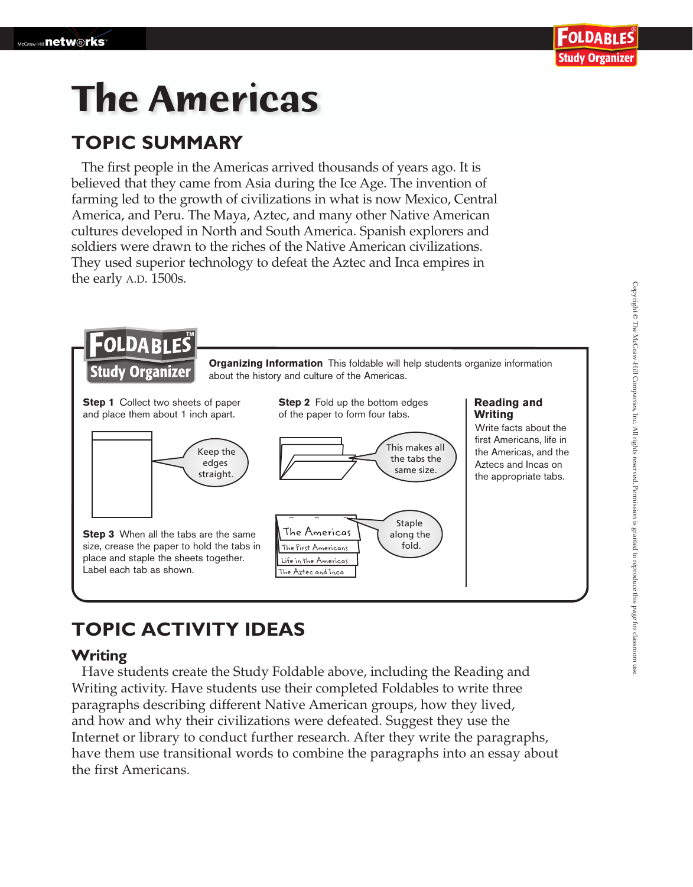# **The Americas**

## **TOPIC SUMMARY**

The first people in the Americas arrived thousands of years ago. It is believed that they came from Asia during the Ice Age. The invention of farming led to the growth of civilizations in what is now Mexico, Central America, and Peru. The Maya, Aztec, and many other Native American cultures developed in North and South America. Spanish explorers and soldiers were drawn to the riches of the Native American civilizations. They used superior technology to defeat the Aztec and Inca empires in the early A.D. 1500s.



# **TOPIC ACTIVITY IDEAS**

## **Writing**

 Have students create the Study Foldable above, including the Reading and Writing activity. Have students use their completed Foldables to write three paragraphs describing different Native American groups, how they lived, and how and why their civilizations were defeated. Suggest they use the Internet or library to conduct further research. After they write the paragraphs, have them use transitional words to combine the paragraphs into an essay about the first Americans.